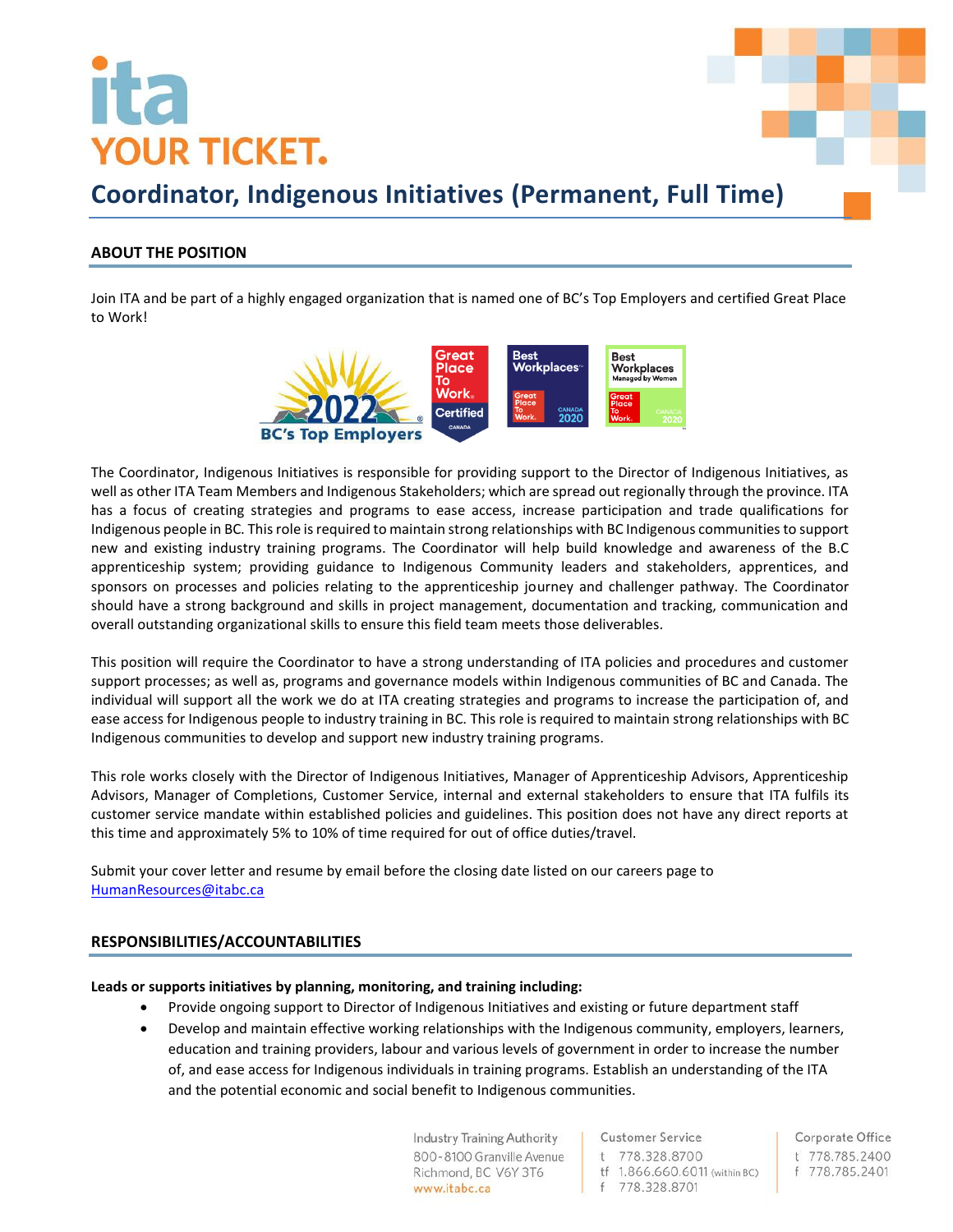# **YOUR TICKET.**



## **Coordinator, Indigenous Initiatives (Permanent, Full Time)**

## **ABOUT THE POSITION**

Join ITA and be part of a highly engaged organization that is named one of BC's Top Employers and certified Great Place to Work!



The Coordinator, Indigenous Initiatives is responsible for providing support to the Director of Indigenous Initiatives, as well as other ITA Team Members and Indigenous Stakeholders; which are spread out regionally through the province. ITA has a focus of creating strategies and programs to ease access, increase participation and trade qualifications for Indigenous people in BC. This role is required to maintain strong relationships with BC Indigenous communities to support new and existing industry training programs. The Coordinator will help build knowledge and awareness of the B.C apprenticeship system; providing guidance to Indigenous Community leaders and stakeholders, apprentices, and sponsors on processes and policies relating to the apprenticeship journey and challenger pathway. The Coordinator should have a strong background and skills in project management, documentation and tracking, communication and overall outstanding organizational skills to ensure this field team meets those deliverables.

This position will require the Coordinator to have a strong understanding of ITA policies and procedures and customer support processes; as well as, programs and governance models within Indigenous communities of BC and Canada. The individual will support all the work we do at ITA creating strategies and programs to increase the participation of, and ease access for Indigenous people to industry training in BC. This role is required to maintain strong relationships with BC Indigenous communities to develop and support new industry training programs.

This role works closely with the Director of Indigenous Initiatives, Manager of Apprenticeship Advisors, Apprenticeship Advisors, Manager of Completions, Customer Service, internal and external stakeholders to ensure that ITA fulfils its customer service mandate within established policies and guidelines. This position does not have any direct reports at this time and approximately 5% to 10% of time required for out of office duties/travel.

Submit your cover letter and resume by email before the closing date listed on our careers page to [HumanResources@itabc.ca](mailto:HumanResources@itabc.ca)

### **RESPONSIBILITIES/ACCOUNTABILITIES**

### **Leads or supports initiatives by planning, monitoring, and training including:**

- Provide ongoing support to Director of Indigenous Initiatives and existing or future department staff
- Develop and maintain effective working relationships with the Indigenous community, employers, learners, education and training providers, labour and various levels of government in order to increase the number of, and ease access for Indigenous individuals in training programs. Establish an understanding of the ITA and the potential economic and social benefit to Indigenous communities.

**Industry Training Authority** 800-8100 Granville Avenue Richmond, BC V6Y 3T6 www.itabc.ca

**Customer Service** t 778.328.8700 tf 1.866.660.6011 (within BC)

f 778.328.8701

Corporate Office t 778.785.2400 f 778.785.2401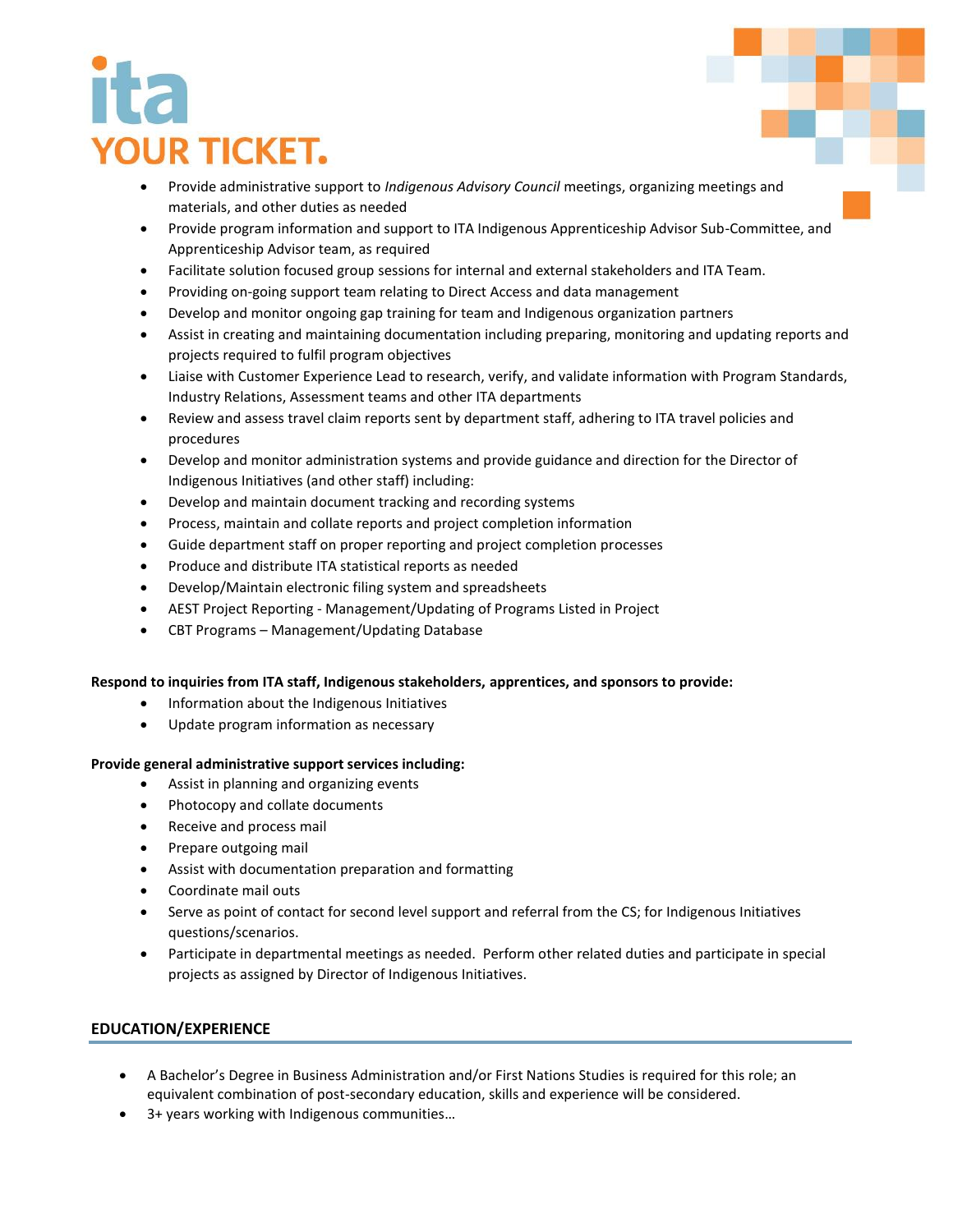# **YOUR TICKET.**

- Provide administrative support to *Indigenous Advisory Council* meetings, organizing meetings and materials, and other duties as needed
- Provide program information and support to ITA Indigenous Apprenticeship Advisor Sub-Committee, and Apprenticeship Advisor team, as required
- Facilitate solution focused group sessions for internal and external stakeholders and ITA Team.
- Providing on-going support team relating to Direct Access and data management
- Develop and monitor ongoing gap training for team and Indigenous organization partners
- Assist in creating and maintaining documentation including preparing, monitoring and updating reports and projects required to fulfil program objectives
- Liaise with Customer Experience Lead to research, verify, and validate information with Program Standards, Industry Relations, Assessment teams and other ITA departments
- Review and assess travel claim reports sent by department staff, adhering to ITA travel policies and procedures
- Develop and monitor administration systems and provide guidance and direction for the Director of Indigenous Initiatives (and other staff) including:
- Develop and maintain document tracking and recording systems
- Process, maintain and collate reports and project completion information
- Guide department staff on proper reporting and project completion processes
- Produce and distribute ITA statistical reports as needed
- Develop/Maintain electronic filing system and spreadsheets
- AEST Project Reporting Management/Updating of Programs Listed in Project
- CBT Programs Management/Updating Database

### **Respond to inquiries from ITA staff, Indigenous stakeholders, apprentices, and sponsors to provide:**

- Information about the Indigenous Initiatives
- Update program information as necessary

### **Provide general administrative support services including:**

- Assist in planning and organizing events
- Photocopy and collate documents
- Receive and process mail
- Prepare outgoing mail
- Assist with documentation preparation and formatting
- Coordinate mail outs
- Serve as point of contact for second level support and referral from the CS; for Indigenous Initiatives questions/scenarios.
- Participate in departmental meetings as needed. Perform other related duties and participate in special projects as assigned by Director of Indigenous Initiatives.

## **EDUCATION/EXPERIENCE**

- A Bachelor's Degree in Business Administration and/or First Nations Studies is required for this role; an equivalent combination of post-secondary education, skills and experience will be considered.
- 3+ years working with Indigenous communities…